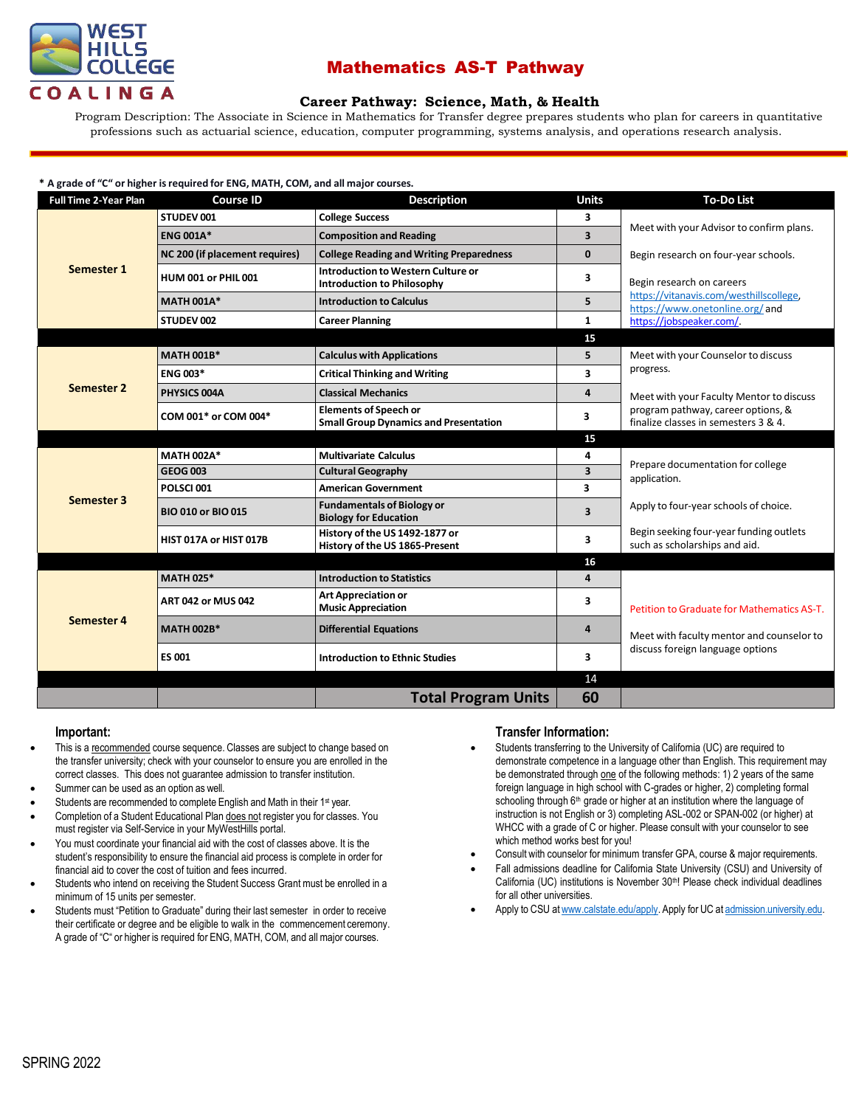

# Mathematics AS-T Pathway

## **Career [Pathway:](http://www.broward.edu/academics/programs/Pages/social-behavioral-sciences-human-services-SBSHS.aspx) Science, Math, & Health**

Program Description: The Associate in Science in Mathematics for Transfer degree prepares students who plan for careers in quantitative professions such as actuarial science, education, computer programming, systems analysis, and operations research analysis.

| * A grade of "C" or higher is required for ENG, MATH, COM, and all major courses. |                                |                                                                              |                         |                                                                                                                        |  |  |  |
|-----------------------------------------------------------------------------------|--------------------------------|------------------------------------------------------------------------------|-------------------------|------------------------------------------------------------------------------------------------------------------------|--|--|--|
| <b>Full Time 2-Year Plan</b>                                                      | <b>Course ID</b>               | <b>Description</b>                                                           | <b>Units</b>            | <b>To-Do List</b>                                                                                                      |  |  |  |
| Semester 1                                                                        | STUDEV 001                     | <b>College Success</b>                                                       | 3                       | Meet with your Advisor to confirm plans.                                                                               |  |  |  |
|                                                                                   | <b>ENG 001A*</b>               | <b>Composition and Reading</b>                                               | 3                       |                                                                                                                        |  |  |  |
|                                                                                   | NC 200 (if placement requires) | <b>College Reading and Writing Preparedness</b>                              | $\mathbf{0}$            | Begin research on four-year schools.                                                                                   |  |  |  |
|                                                                                   | <b>HUM 001 or PHIL 001</b>     | Introduction to Western Culture or<br><b>Introduction to Philosophy</b>      | 3                       | Begin research on careers                                                                                              |  |  |  |
|                                                                                   | <b>MATH 001A*</b>              | <b>Introduction to Calculus</b>                                              | 5                       | https://vitanavis.com/westhillscollege.<br>https://www.onetonline.org/ and                                             |  |  |  |
|                                                                                   | STUDEV 002                     | <b>Career Planning</b>                                                       | $\mathbf{1}$            | https://jobspeaker.com/.                                                                                               |  |  |  |
|                                                                                   |                                |                                                                              | 15                      |                                                                                                                        |  |  |  |
| Semester 2                                                                        | <b>MATH 001B*</b>              | <b>Calculus with Applications</b>                                            | 5                       | Meet with your Counselor to discuss<br>progress.                                                                       |  |  |  |
|                                                                                   | <b>ENG 003*</b>                | <b>Critical Thinking and Writing</b>                                         | 3                       |                                                                                                                        |  |  |  |
|                                                                                   | PHYSICS 004A                   | <b>Classical Mechanics</b>                                                   | 4                       | Meet with your Faculty Mentor to discuss<br>program pathway, career options, &<br>finalize classes in semesters 3 & 4. |  |  |  |
|                                                                                   | COM 001* or COM 004*           | <b>Elements of Speech or</b><br><b>Small Group Dynamics and Presentation</b> | 3                       |                                                                                                                        |  |  |  |
|                                                                                   |                                |                                                                              | 15                      |                                                                                                                        |  |  |  |
| <b>Semester 3</b>                                                                 | <b>MATH 002A*</b>              | <b>Multivariate Calculus</b>                                                 | 4                       | Prepare documentation for college<br>application.                                                                      |  |  |  |
|                                                                                   | <b>GEOG 003</b>                | <b>Cultural Geography</b>                                                    | $\overline{\mathbf{3}}$ |                                                                                                                        |  |  |  |
|                                                                                   | POLSCI001                      | <b>American Government</b>                                                   | 3                       |                                                                                                                        |  |  |  |
|                                                                                   | <b>BIO 010 or BIO 015</b>      | <b>Fundamentals of Biology or</b><br><b>Biology for Education</b>            | 3                       | Apply to four-year schools of choice.                                                                                  |  |  |  |
|                                                                                   | HIST 017A or HIST 017B         | History of the US 1492-1877 or<br>History of the US 1865-Present             | 3                       | Begin seeking four-year funding outlets<br>such as scholarships and aid.                                               |  |  |  |
|                                                                                   |                                |                                                                              | 16                      |                                                                                                                        |  |  |  |
| <b>Semester 4</b>                                                                 | <b>MATH 025*</b>               | <b>Introduction to Statistics</b>                                            | 4                       |                                                                                                                        |  |  |  |
|                                                                                   | <b>ART 042 or MUS 042</b>      | <b>Art Appreciation or</b><br><b>Music Appreciation</b>                      | 3                       | Petition to Graduate for Mathematics AS-T.                                                                             |  |  |  |
|                                                                                   | <b>MATH 002B*</b>              | <b>Differential Equations</b>                                                | $\overline{4}$          | Meet with faculty mentor and counselor to                                                                              |  |  |  |
|                                                                                   | <b>ES 001</b>                  | <b>Introduction to Ethnic Studies</b>                                        | 3                       | discuss foreign language options                                                                                       |  |  |  |
|                                                                                   |                                |                                                                              | 14                      |                                                                                                                        |  |  |  |
|                                                                                   |                                | <b>Total Program Units</b>                                                   | 60                      |                                                                                                                        |  |  |  |

### **Important:**

- This is a recommended course sequence. Classes are subject to change based on the transfer university; check with your counselor to ensure you are enrolled in the correct classes. This does not guarantee admission to transfer institution.
- Summer can be used as an option as well.
- Students are recommended to complete English and Math in their 1<sup>st</sup> year.
- Completion of a Student Educational Plan does not register you for classes. You must register via Self-Service in your MyWestHills portal.
- You must coordinate your financial aid with the cost of classes above. It is the student's responsibility to ensure the financial aid process is complete in order for financial aid to cover the cost of tuition and fees incurred.
- Students who intend on receiving the Student Success Grant must be enrolled in a minimum of 15 units per semester.
- Students must "Petition to Graduate" during their last semester in order to receive their certificate or degree and be eligible to walk in the commencement ceremony. A grade of "C" or higher is required for ENG, MATH, COM, and all major courses.

## **Transfer Information:**

- Students transferring to the University of California (UC) are required to demonstrate competence in a language other than English. This requirement may be demonstrated through one of the following methods: 1) 2 years of the same foreign language in high school with C-grades or higher, 2) completing formal schooling through 6<sup>th</sup> grade or higher at an institution where the language of instruction is not English or 3) completing ASL-002 or SPAN-002 (or higher) at WHCC with a grade of C or higher. Please consult with your counselor to see which method works best for you!
- Consult with counselor for minimum transfer GPA, course & major requirements.
- Fall admissions deadline for California State University (CSU) and University of California (UC) institutions is November 30<sup>th</sup>! Please check individual deadlines for all other universities.
- Apply to CSU a[twww.calstate.edu/apply.](http://www.calstate.edu/apply) Apply for UC at [admission.university.edu.](http://www.apply.universityofcalifornia.edu/)